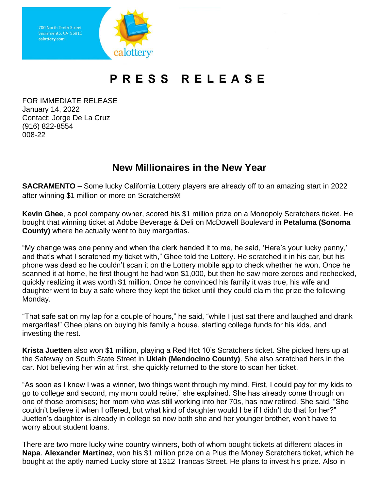

## PRESS RELEASE

FOR IMMEDIATE RELEASE January 14, 2022 Contact: Jorge De La Cruz (916) 822-8554 008-22

## **New Millionaires in the New Year**

**SACRAMENTO** – Some lucky California Lottery players are already off to an amazing start in 2022 after winning \$1 million or more on Scratchers®!

**Kevin Ghee**, a pool company owner, scored his \$1 million prize on a Monopoly Scratchers ticket. He bought that winning ticket at Adobe Beverage & Deli on McDowell Boulevard in **Petaluma (Sonoma County)** where he actually went to buy margaritas.

"My change was one penny and when the clerk handed it to me, he said, 'Here's your lucky penny,' and that's what I scratched my ticket with," Ghee told the Lottery. He scratched it in his car, but his phone was dead so he couldn't scan it on the Lottery mobile app to check whether he won. Once he scanned it at home, he first thought he had won \$1,000, but then he saw more zeroes and rechecked, quickly realizing it was worth \$1 million. Once he convinced his family it was true, his wife and daughter went to buy a safe where they kept the ticket until they could claim the prize the following Monday.

"That safe sat on my lap for a couple of hours," he said, "while I just sat there and laughed and drank margaritas!" Ghee plans on buying his family a house, starting college funds for his kids, and investing the rest.

**Krista Juetten** also won \$1 million, playing a Red Hot 10's Scratchers ticket. She picked hers up at the Safeway on South State Street in **Ukiah (Mendocino County)**. She also scratched hers in the car. Not believing her win at first, she quickly returned to the store to scan her ticket.

"As soon as I knew I was a winner, two things went through my mind. First, I could pay for my kids to go to college and second, my mom could retire," she explained. She has already come through on one of those promises; her mom who was still working into her 70s, has now retired. She said, "She couldn't believe it when I offered, but what kind of daughter would I be if I didn't do that for her?" Juetten's daughter is already in college so now both she and her younger brother, won't have to worry about student loans.

There are two more lucky wine country winners, both of whom bought tickets at different places in **Napa**. **Alexander Martinez,** won his \$1 million prize on a Plus the Money Scratchers ticket, which he bought at the aptly named Lucky store at 1312 Trancas Street. He plans to invest his prize. Also in